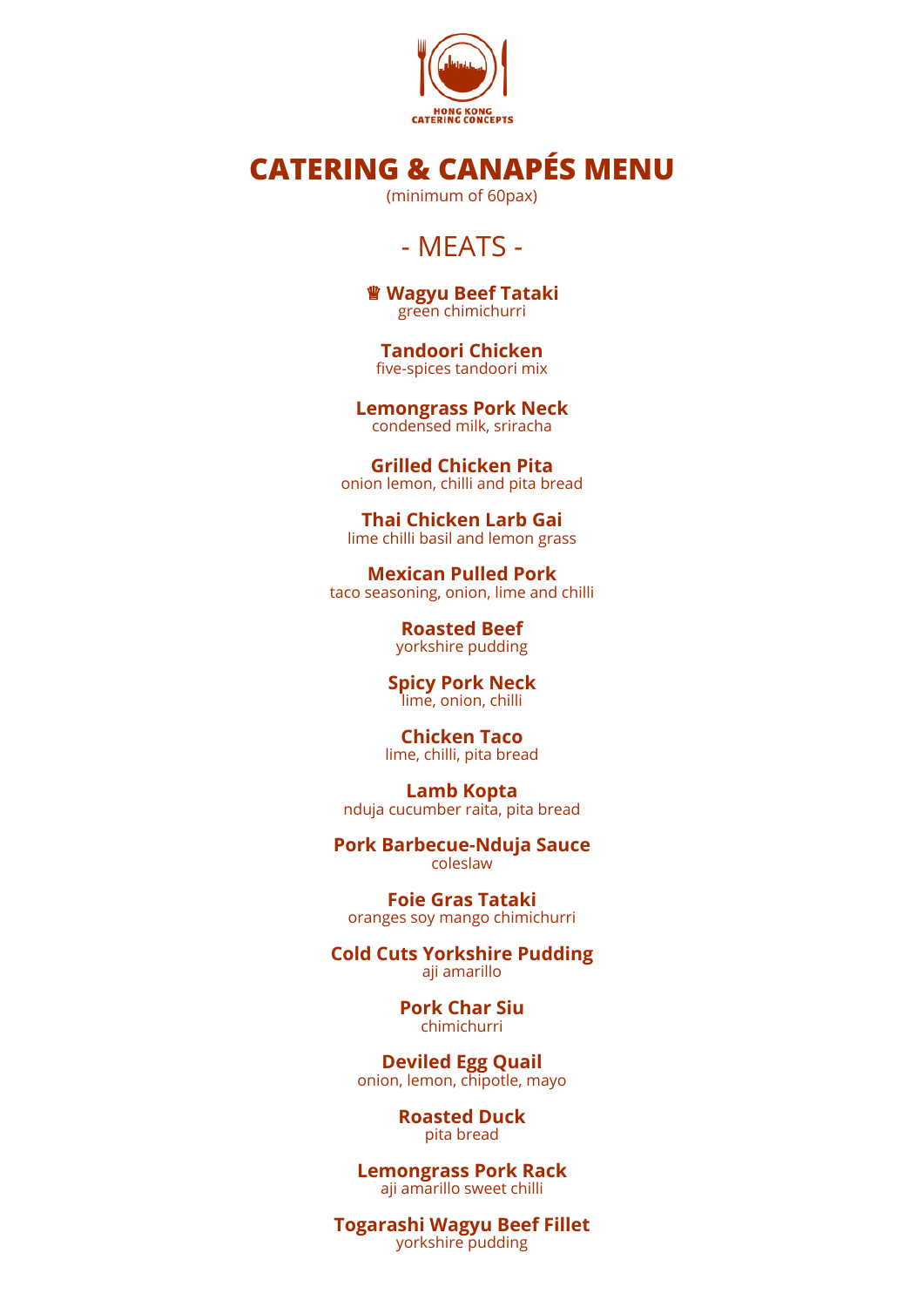

# **CATERING & CANAPÉS MENU**

(minimum of 60pax)

## - MEATS -

♕ **Wagyu Beef Tataki** green chimichurri

**Tandoori Chicken** five-spices tandoori mix

**Lemongrass Pork Neck** condensed milk, sriracha

**Grilled Chicken Pita** onion lemon, chilli and pita bread

**Thai Chicken Larb Gai** lime chilli basil and lemon grass

**Mexican Pulled Pork** taco seasoning, onion, lime and chilli

> **Roasted Beef** yorkshire pudding

**Spicy Pork Neck** lime, onion, chilli

**Chicken Taco** lime, chilli, pita bread

**Lamb Kopta** nduja cucumber raita, pita bread

**Pork Barbecue-Nduja Sauce** coleslaw

**Foie Gras Tataki** oranges soy mango chimichurri

**Cold Cuts Yorkshire Pudding** aji amarillo

> **Pork Char Siu** chimichurri

**Deviled Egg Quail** onion, lemon, chipotle, mayo

> **Roasted Duck** pita bread

**Lemongrass Pork Rack** aji amarillo sweet chilli

**Togarashi Wagyu Beef Fillet** yorkshire pudding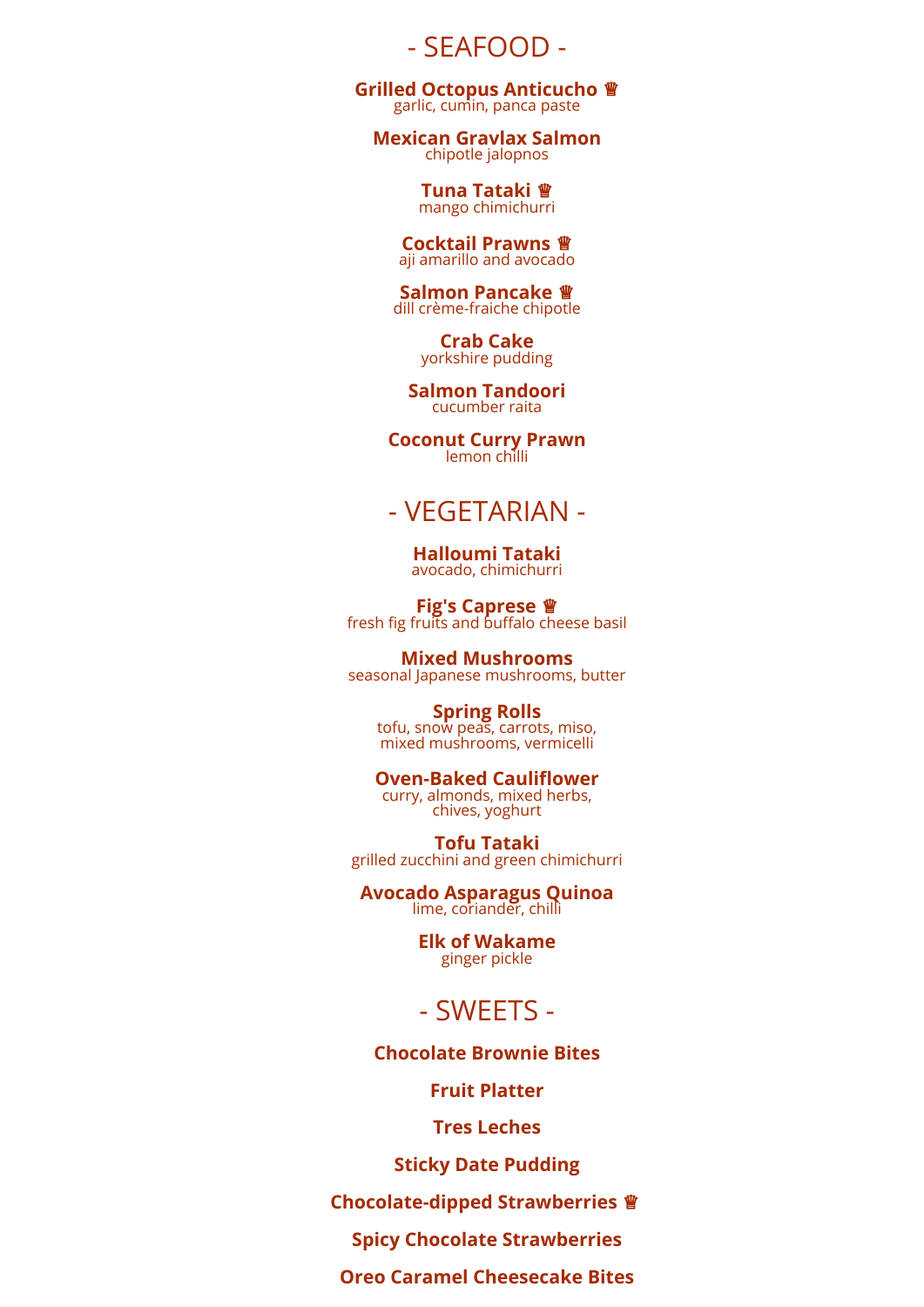- SEAFOOD -

**Grilled Octopus Anticucho** ♕ garlic, cumin, panca paste

**Mexican Gravlax Salmon** chipotle jalopnos

> **Tuna Tataki** ♕ mango chimichurri

**Cocktail Prawns** ♕ aji amarillo and avocado

**Salmon Pancake** ♕ dill crème-fraiche chipotle

> **Crab Cake** yorkshire pudding

**Salmon Tandoori** cucumber raita

**Coconut Curry Prawn** lemon chilli

### - VEGETARIAN -

**Halloumi Tataki** avocado, chimichurri

**Fig's Caprese** ♕ fresh fig fruits and buffalo cheese basil

**Mixed Mushrooms** seasonal Japanese mushrooms, butter

> **Spring Rolls** tofu, snow peas, carrots, miso, mixed mushrooms, vermicelli

**Oven-Baked Cauliflower** curry, almonds, mixed herbs, chives, yoghurt

**Tofu Tataki** grilled zucchini and green chimichurri

**Avocado Asparagus Quinoa** lime, coriander, chilli

> **Elk of Wakame** ginger pickle

### - SWEETS -

**Chocolate Brownie Bites**

**Fruit Platter**

**Tres Leches**

**Sticky Date Pudding**

**Chocolate-dipped Strawberries** ♕

**Spicy Chocolate Strawberries**

**Oreo Caramel Cheesecake Bites**